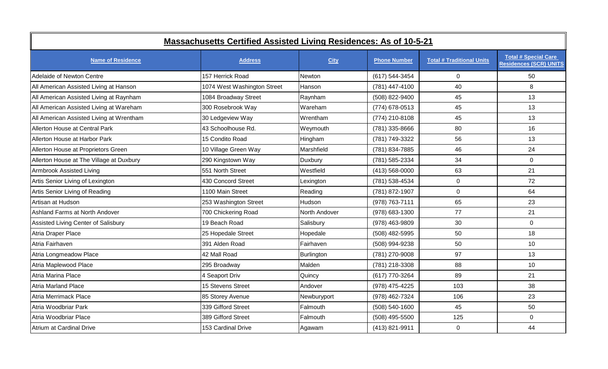| <b>Massachusetts Certified Assisted Living Residences: As of 10-5-21</b> |                             |               |                     |                                  |                                                              |
|--------------------------------------------------------------------------|-----------------------------|---------------|---------------------|----------------------------------|--------------------------------------------------------------|
| <b>Name of Residence</b>                                                 | <b>Address</b>              | <b>City</b>   | <b>Phone Number</b> | <b>Total # Traditional Units</b> | <b>Total # Special Care</b><br><b>Residences (SCR) UNITS</b> |
| <b>Adelaide of Newton Centre</b>                                         | 157 Herrick Road            | Newton        | (617) 544-3454      | $\overline{0}$                   | 50                                                           |
| All American Assisted Living at Hanson                                   | 1074 West Washington Street | Hanson        | (781) 447-4100      | 40                               | 8                                                            |
| All American Assisted Living at Raynham                                  | 1084 Broadway Street        | Raynham       | (508) 822-9400      | 45                               | 13                                                           |
| All American Assisted Living at Wareham                                  | 300 Rosebrook Way           | Wareham       | (774) 678-0513      | 45                               | 13                                                           |
| All American Assisted Living at Wrentham                                 | 30 Ledgeview Way            | Wrentham      | (774) 210-8108      | 45                               | 13                                                           |
| Allerton House at Central Park                                           | 43 Schoolhouse Rd.          | Weymouth      | (781) 335-8666      | 80                               | 16                                                           |
| Allerton House at Harbor Park                                            | 15 Condito Road             | Hingham       | (781) 749-3322      | 56                               | 13                                                           |
| Allerton House at Proprietors Green                                      | 10 Village Green Way        | Marshfield    | (781) 834-7885      | 46                               | 24                                                           |
| Allerton House at The Village at Duxbury                                 | 290 Kingstown Way           | Duxbury       | (781) 585-2334      | 34                               | $\overline{0}$                                               |
| Armbrook Assisted Living                                                 | 551 North Street            | Westfield     | (413) 568-0000      | 63                               | 21                                                           |
| Artis Senior Living of Lexington                                         | 430 Concord Street          | Lexington     | (781) 538-4534      | $\mathbf 0$                      | 72                                                           |
| Artis Senior Living of Reading                                           | 1100 Main Street            | Reading       | (781) 872-1907      | $\mathbf 0$                      | 64                                                           |
| Artisan at Hudson                                                        | 253 Washington Street       | Hudson        | (978) 763-7111      | 65                               | 23                                                           |
| Ashland Farms at North Andover                                           | 700 Chickering Road         | North Andover | (978) 683-1300      | 77                               | 21                                                           |
| Assisted Living Center of Salisbury                                      | 19 Beach Road               | Salisbury     | (978) 463-9809      | 30                               | $\overline{0}$                                               |
| Atria Draper Place                                                       | 25 Hopedale Street          | Hopedale      | (508) 482-5995      | 50                               | 18                                                           |
| Atria Fairhaven                                                          | 391 Alden Road              | Fairhaven     | (508) 994-9238      | 50                               | 10                                                           |
| Atria Longmeadow Place                                                   | 42 Mall Road                | Burlington    | (781) 270-9008      | 97                               | 13                                                           |
| Atria Maplewood Place                                                    | 295 Broadway                | Malden        | (781) 218-3308      | 88                               | 10                                                           |
| Atria Marina Place                                                       | 4 Seaport Driv              | Quincy        | (617) 770-3264      | 89                               | 21                                                           |
| <b>Atria Marland Place</b>                                               | 15 Stevens Street           | Andover       | (978) 475-4225      | 103                              | 38                                                           |
| Atria Merrimack Place                                                    | 85 Storey Avenue            | Newburyport   | (978) 462-7324      | 106                              | 23                                                           |
| Atria Woodbriar Park                                                     | 339 Gifford Street          | Falmouth      | $(508) 540 - 1600$  | 45                               | 50                                                           |
| Atria Woodbriar Place                                                    | 389 Gifford Street          | Falmouth      | (508) 495-5500      | 125                              | $\Omega$                                                     |
| Atrium at Cardinal Drive                                                 | 153 Cardinal Drive          | Agawam        | (413) 821-9911      | $\mathbf 0$                      | 44                                                           |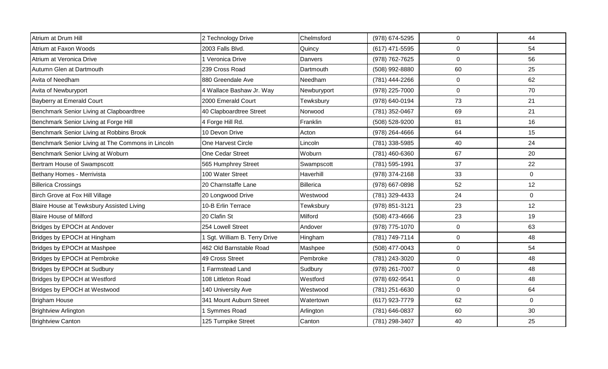| Atrium at Drum Hill                               | 2 Technology Drive            | Chelmsford  | (978) 674-5295 | $\mathbf 0$ | 44          |
|---------------------------------------------------|-------------------------------|-------------|----------------|-------------|-------------|
| Atrium at Faxon Woods                             | 2003 Falls Blvd.              | Quincy      | (617) 471-5595 | $\pmb{0}$   | 54          |
| Atrium at Veronica Drive                          | 1 Veronica Drive              | Danvers     | (978) 762-7625 | $\mathbf 0$ | 56          |
| Autumn Glen at Dartmouth                          | 239 Cross Road                | Dartmouth   | (508) 992-8880 | 60          | 25          |
| Avita of Needham                                  | 880 Greendale Ave             | Needham     | (781) 444-2266 | $\pmb{0}$   | 62          |
| Avita of Newburyport                              | 4 Wallace Bashaw Jr. Way      | Newburyport | (978) 225-7000 | $\pmb{0}$   | 70          |
| Bayberry at Emerald Court                         | 2000 Emerald Court            | Tewksbury   | (978) 640-0194 | 73          | 21          |
| Benchmark Senior Living at Clapboardtree          | 40 Clapboardtree Street       | Norwood     | (781) 352-0467 | 69          | 21          |
| Benchmark Senior Living at Forge Hill             | 4 Forge Hill Rd.              | Franklin    | (508) 528-9200 | 81          | 16          |
| Benchmark Senior Living at Robbins Brook          | 10 Devon Drive                | Acton       | (978) 264-4666 | 64          | 15          |
| Benchmark Senior Living at The Commons in Lincoln | One Harvest Circle            | Lincoln     | (781) 338-5985 | 40          | 24          |
| Benchmark Senior Living at Woburn                 | One Cedar Street              | Woburn      | (781) 460-6360 | 67          | 20          |
| Bertram House of Swampscott                       | 565 Humphrey Street           | Swampscott  | (781) 595-1991 | 37          | 22          |
| Bethany Homes - Merrivista                        | 100 Water Street              | Haverhill   | (978) 374-2168 | 33          | $\mathbf 0$ |
| <b>Billerica Crossings</b>                        | 20 Charnstaffe Lane           | Billerica   | (978) 667-0898 | 52          | 12          |
| Birch Grove at Fox Hill Village                   | 20 Longwood Drive             | Westwood    | (781) 329-4433 | 24          | $\mathbf 0$ |
| Blaire House at Tewksbury Assisted Living         | 10-B Erlin Terrace            | Tewksbury   | (978) 851-3121 | 23          | 12          |
| <b>Blaire House of Milford</b>                    | 20 Clafin St                  | Milford     | (508) 473-4666 | 23          | 19          |
| Bridges by EPOCH at Andover                       | 254 Lowell Street             | Andover     | (978) 775-1070 | $\mathbf 0$ | 63          |
| Bridges by EPOCH at Hingham                       | 1 Sgt. William B. Terry Drive | Hingham     | (781) 749-7114 | $\pmb{0}$   | 48          |
| Bridges by EPOCH at Mashpee                       | 462 Old Barnstable Road       | Mashpee     | (508) 477-0043 | $\mathbf 0$ | 54          |
| Bridges by EPOCH at Pembroke                      | 49 Cross Street               | Pembroke    | (781) 243-3020 | $\pmb{0}$   | 48          |
| Bridges by EPOCH at Sudbury                       | 1 Farmstead Land              | Sudbury     | (978) 261-7007 | $\mathbf 0$ | 48          |
| Bridges by EPOCH at Westford                      | 108 Littleton Road            | Westford    | (978) 692-9541 | $\mathbf 0$ | 48          |
| Bridges by EPOCH at Westwood                      | 140 University Ave            | Westwood    | (781) 251-6630 | $\mathbf 0$ | 64          |
| <b>Brigham House</b>                              | 341 Mount Auburn Street       | Watertown   | (617) 923-7779 | 62          | $\mathbf 0$ |
| <b>Brightview Arlington</b>                       | <b>Symmes Road</b>            | Arlington   | (781) 646-0837 | 60          | 30          |
| <b>Brightview Canton</b>                          | 125 Turnpike Street           | Canton      | (781) 298-3407 | 40          | 25          |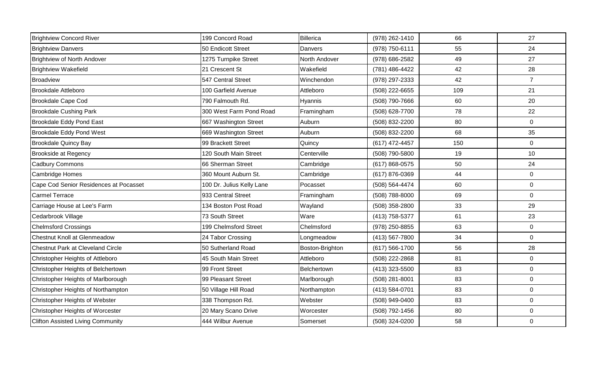| <b>Brightview Concord River</b>          | 199 Concord Road          | Billerica       | (978) 262-1410 | 66  | 27             |
|------------------------------------------|---------------------------|-----------------|----------------|-----|----------------|
| <b>Brightview Danvers</b>                | 50 Endicott Street        | Danvers         | (978) 750-6111 | 55  | 24             |
| Brightview of North Andover              | 1275 Turnpike Street      | North Andover   | (978) 686-2582 | 49  | 27             |
| <b>Brightview Wakefield</b>              | 21 Crescent St            | Wakefield       | (781) 486-4422 | 42  | 28             |
| <b>Broadview</b>                         | 547 Central Street        | Winchendon      | (978) 297-2333 | 42  | $\overline{7}$ |
| <b>Brookdale Attleboro</b>               | 100 Garfield Avenue       | Attleboro       | (508) 222-6655 | 109 | 21             |
| <b>Brookdale Cape Cod</b>                | 790 Falmouth Rd.          | Hyannis         | (508) 790-7666 | 60  | 20             |
| <b>Brookdale Cushing Park</b>            | 300 West Farm Pond Road   | Framingham      | (508) 628-7700 | 78  | 22             |
| Brookdale Eddy Pond East                 | 667 Washington Street     | Auburn          | (508) 832-2200 | 80  | $\mathbf 0$    |
| Brookdale Eddy Pond West                 | 669 Washington Street     | Auburn          | (508) 832-2200 | 68  | 35             |
| <b>Brookdale Quincy Bay</b>              | 99 Brackett Street        | Quincy          | (617) 472-4457 | 150 | $\mathbf 0$    |
| <b>Brookside at Regency</b>              | 120 South Main Street     | Centerville     | (508) 790-5800 | 19  | 10             |
| <b>Cadbury Commons</b>                   | 66 Sherman Street         | Cambridge       | (617) 868-0575 | 50  | 24             |
| <b>Cambridge Homes</b>                   | 360 Mount Auburn St.      | Cambridge       | (617) 876-0369 | 44  | $\mathbf 0$    |
| Cape Cod Senior Residences at Pocasset   | 100 Dr. Julius Kelly Lane | Pocasset        | (508) 564-4474 | 60  | $\mathbf 0$    |
| <b>Carmel Terrace</b>                    | 933 Central Street        | Framingham      | (508) 788-8000 | 69  | $\mathbf 0$    |
| Carriage House at Lee's Farm             | 134 Boston Post Road      | Wayland         | (508) 358-2800 | 33  | 29             |
| Cedarbrook Village                       | 73 South Street           | Ware            | (413) 758-5377 | 61  | 23             |
| <b>Chelmsford Crossings</b>              | 199 Chelmsford Street     | Chelmsford      | (978) 250-8855 | 63  | $\mathbf 0$    |
| <b>Chestnut Knoll at Glenmeadow</b>      | 24 Tabor Crossing         | Longmeadow      | (413) 567-7800 | 34  | $\mathbf 0$    |
| Chestnut Park at Cleveland Circle        | 50 Sutherland Road        | Boston-Brighton | (617) 566-1700 | 56  | 28             |
| Christopher Heights of Attleboro         | 45 South Main Street      | Attleboro       | (508) 222-2868 | 81  | $\mathbf 0$    |
| Christopher Heights of Belchertown       | 99 Front Street           | Belchertown     | (413) 323-5500 | 83  | $\mathbf 0$    |
| Christopher Heights of Marlborough       | 99 Pleasant Street        | Marlborough     | (508) 281-8001 | 83  | $\mathbf{0}$   |
| Christopher Heights of Northampton       | 50 Village Hill Road      | Northampton     | (413) 584-0701 | 83  | $\mathbf 0$    |
| Christopher Heights of Webster           | 338 Thompson Rd.          | Webster         | (508) 949-0400 | 83  | $\mathbf 0$    |
| Christopher Heights of Worcester         | 20 Mary Scano Drive       | Worcester       | (508) 792-1456 | 80  | $\overline{0}$ |
| <b>Clifton Assisted Living Community</b> | 444 Wilbur Avenue         | Somerset        | (508) 324-0200 | 58  | $\mathbf 0$    |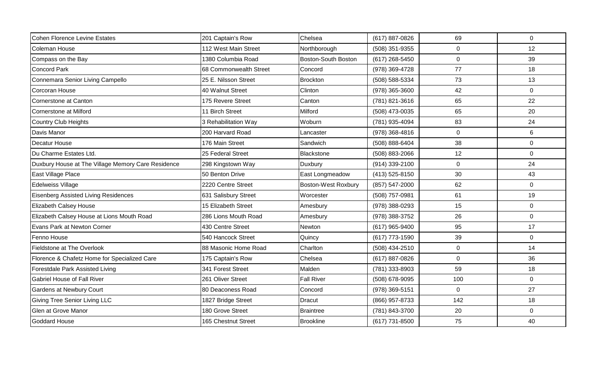| <b>Cohen Florence Levine Estates</b>               | 201 Captain's Row      | Chelsea                    | (617) 887-0826 | 69             | $\mathbf 0$    |
|----------------------------------------------------|------------------------|----------------------------|----------------|----------------|----------------|
| Coleman House                                      | 112 West Main Street   | Northborough               | (508) 351-9355 | $\mathbf 0$    | 12             |
| Compass on the Bay                                 | 1380 Columbia Road     | Boston-South Boston        | (617) 268-5450 | $\overline{0}$ | 39             |
| <b>Concord Park</b>                                | 68 Commonwealth Street | Concord                    | (978) 369-4728 | 77             | 18             |
| Connemara Senior Living Campello                   | 25 E. Nilsson Street   | Brockton                   | (508) 588-5334 | 73             | 13             |
| <b>Corcoran House</b>                              | 40 Walnut Street       | Clinton                    | (978) 365-3600 | 42             | $\overline{0}$ |
| Cornerstone at Canton                              | 175 Revere Street      | Canton                     | (781) 821-3616 | 65             | 22             |
| Cornerstone at Milford                             | 11 Birch Street        | Milford                    | (508) 473-0035 | 65             | 20             |
| Country Club Heights                               | 3 Rehabilitation Way   | Woburn                     | (781) 935-4094 | 83             | 24             |
| Davis Manor                                        | 200 Harvard Road       | Lancaster                  | (978) 368-4816 | $\mathbf 0$    | 6              |
| Decatur House                                      | 176 Main Street        | Sandwich                   | (508) 888-6404 | 38             | $\overline{0}$ |
| Du Charme Estates Ltd.                             | 25 Federal Street      | Blackstone                 | (508) 883-2066 | 12             | $\overline{0}$ |
| Duxbury House at The Village Memory Care Residence | 298 Kingstown Way      | Duxbury                    | (914) 339-2100 | $\mathbf{0}$   | 24             |
| East Village Place                                 | 50 Benton Drive        | East Longmeadow            | (413) 525-8150 | 30             | 43             |
| <b>Edelweiss Village</b>                           | 2220 Centre Street     | <b>Boston-West Roxbury</b> | (857) 547-2000 | 62             | $\Omega$       |
| <b>Eisenberg Assisted Living Residences</b>        | 631 Salisbury Street   | Worcester                  | (508) 757-0981 | 61             | 19             |
| <b>Elizabeth Calsey House</b>                      | 15 Elizabeth Street    | Amesbury                   | (978) 388-0293 | 15             | $\mathbf 0$    |
| Elizabeth Calsey House at Lions Mouth Road         | 286 Lions Mouth Road   | Amesbury                   | (978) 388-3752 | 26             | $\overline{0}$ |
| Evans Park at Newton Corner                        | 430 Centre Street      | Newton                     | (617) 965-9400 | 95             | 17             |
| Fenno House                                        | 540 Hancock Street     | Quincy                     | (617) 773-1590 | 39             | 0              |
| Fieldstone at The Overlook                         | 88 Masonic Home Road   | Charlton                   | (508) 434-2510 | $\mathbf 0$    | 14             |
| Florence & Chafetz Home for Specialized Care       | 175 Captain's Row      | Chelsea                    | (617) 887-0826 | $\mathbf 0$    | 36             |
| Forestdale Park Assisted Living                    | 341 Forest Street      | Malden                     | (781) 333-8903 | 59             | 18             |
| <b>Gabriel House of Fall River</b>                 | 261 Oliver Street      | <b>Fall River</b>          | (508) 678-9095 | 100            | $\Omega$       |
| Gardens at Newbury Court                           | 80 Deaconess Road      | Concord                    | (978) 369-5151 | $\mathbf{0}$   | 27             |
| <b>Giving Tree Senior Living LLC</b>               | 1827 Bridge Street     | <b>Dracut</b>              | (866) 957-8733 | 142            | 18             |
| Glen at Grove Manor                                | 180 Grove Street       | <b>Braintree</b>           | (781) 843-3700 | 20             | $\overline{0}$ |
| <b>Goddard House</b>                               | 165 Chestnut Street    | <b>Brookline</b>           | (617) 731-8500 | 75             | 40             |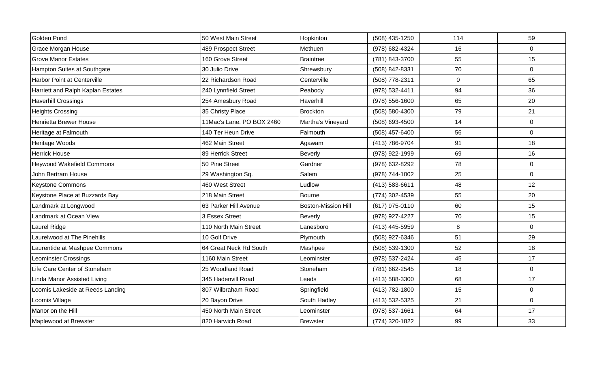| Golden Pond                        | 50 West Main Street       | Hopkinton                  | (508) 435-1250 | 114         | 59             |
|------------------------------------|---------------------------|----------------------------|----------------|-------------|----------------|
|                                    |                           |                            |                |             |                |
| Grace Morgan House                 | 489 Prospect Street       | Methuen                    | (978) 682-4324 | 16          | $\Omega$       |
| <b>Grove Manor Estates</b>         | 160 Grove Street          | Braintree                  | (781) 843-3700 | 55          | 15             |
| Hampton Suites at Southgate        | 30 Julio Drive            | Shrewsbury                 | (508) 842-8331 | 70          | $\overline{0}$ |
| <b>Harbor Point at Centerville</b> | 22 Richardson Road        | Centerville                | (508) 778-2311 | $\mathbf 0$ | 65             |
| Harriett and Ralph Kaplan Estates  | 240 Lynnfield Street      | Peabody                    | (978) 532-4411 | 94          | 36             |
| <b>Haverhill Crossings</b>         | 254 Amesbury Road         | Haverhill                  | (978) 556-1600 | 65          | 20             |
| <b>Heights Crossing</b>            | 35 Christy Place          | Brockton                   | (508) 580-4300 | 79          | 21             |
| Henrietta Brewer House             | 11Mac's Lane. PO BOX 2460 | Martha's Vineyard          | (508) 693-4500 | 14          | $\overline{0}$ |
| Heritage at Falmouth               | 140 Ter Heun Drive        | Falmouth                   | (508) 457-6400 | 56          | $\overline{0}$ |
| Heritage Woods                     | 462 Main Street           | Agawam                     | (413) 786-9704 | 91          | 18             |
| <b>Herrick House</b>               | 89 Herrick Street         | <b>Beverly</b>             | (978) 922-1999 | 69          | 16             |
| <b>Heywood Wakefield Commons</b>   | 50 Pine Street            | Gardner                    | (978) 632-8292 | 78          | $\overline{0}$ |
| John Bertram House                 | 29 Washington Sq.         | Salem                      | (978) 744-1002 | 25          | $\overline{0}$ |
| <b>Keystone Commons</b>            | 460 West Street           | Ludlow                     | (413) 583-6611 | 48          | 12             |
| Keystone Place at Buzzards Bay     | 218 Main Street           | <b>Bourne</b>              | (774) 302-4539 | 55          | 20             |
| Landmark at Longwood               | 63 Parker Hill Avenue     | <b>Boston-Mission Hill</b> | (617) 975-0110 | 60          | 15             |
| Landmark at Ocean View             | 3 Essex Street            | <b>Beverly</b>             | (978) 927-4227 | 70          | 15             |
| Laurel Ridge                       | 110 North Main Street     | Lanesboro                  | (413) 445-5959 | 8           | $\overline{0}$ |
| Laurelwood at The Pinehills        | 10 Golf Drive             | Plymouth                   | (508) 927-6346 | 51          | 29             |
| Laurentide at Mashpee Commons      | 64 Great Neck Rd South    | Mashpee                    | (508) 539-1300 | 52          | 18             |
| <b>Leominster Crossings</b>        | 1160 Main Street          | Leominster                 | (978) 537-2424 | 45          | 17             |
| Life Care Center of Stoneham       | 25 Woodland Road          | Stoneham                   | (781) 662-2545 | 18          | $\overline{0}$ |
| <b>Linda Manor Assisted Living</b> | 345 Hadenvill Road        | Leeds                      | (413) 588-3300 | 68          | 17             |
| Loomis Lakeside at Reeds Landing   | 807 Wilbraham Road        | Springfield                | (413) 782-1800 | 15          | $\overline{0}$ |
| Loomis Village                     | 20 Bayon Drive            | South Hadley               | (413) 532-5325 | 21          | $\overline{0}$ |
| Manor on the Hill                  | 450 North Main Street     | Leominster                 | (978) 537-1661 | 64          | 17             |
| Maplewood at Brewster              | 820 Harwich Road          | <b>Brewster</b>            | (774) 320-1822 | 99          | 33             |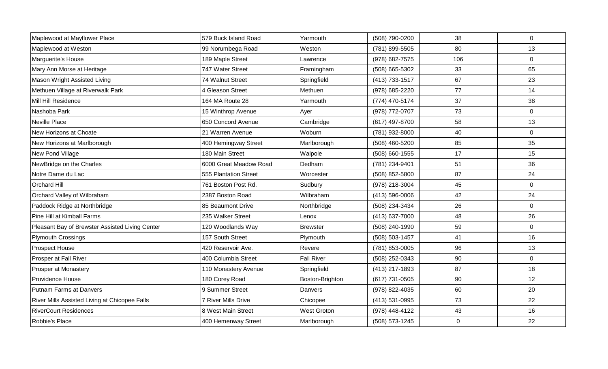| Maplewood at Mayflower Place                    | 579 Buck Island Road       | Yarmouth           | (508) 790-0200 | 38        | $\overline{0}$ |
|-------------------------------------------------|----------------------------|--------------------|----------------|-----------|----------------|
| Maplewood at Weston                             | 99 Norumbega Road          | Weston             | (781) 899-5505 | 80        | 13             |
| Marguerite's House                              | 189 Maple Street           | _awrence           | (978) 682-7575 | 106       | $\overline{0}$ |
| Mary Ann Morse at Heritage                      | 747 Water Street           | Framingham         | (508) 665-5302 | 33        | 65             |
| Mason Wright Assisted Living                    | 74 Walnut Street           | Springfield        | (413) 733-1517 | 67        | 23             |
| Methuen Village at Riverwalk Park               | 4 Gleason Street           | Methuen            | (978) 685-2220 | 77        | 14             |
| Mill Hill Residence                             | 164 MA Route 28            | Yarmouth           | (774) 470-5174 | 37        | 38             |
| Nashoba Park                                    | 15 Winthrop Avenue         | Ayer               | (978) 772-0707 | 73        | $\overline{0}$ |
| Neville Place                                   | 650 Concord Avenue         | Cambridge          | (617) 497-8700 | 58        | 13             |
| New Horizons at Choate                          | 21 Warren Avenue           | Woburn             | (781) 932-8000 | 40        | $\overline{0}$ |
| New Horizons at Marlborough                     | 400 Hemingway Street       | Marlborough        | (508) 460-5200 | 85        | 35             |
| New Pond Village                                | 180 Main Street            | Walpole            | (508) 660-1555 | 17        | 15             |
| NewBridge on the Charles                        | 6000 Great Meadow Road     | Dedham             | (781) 234-9401 | 51        | 36             |
| Notre Dame du Lac                               | 555 Plantation Street      | Worcester          | (508) 852-5800 | 87        | 24             |
| <b>Orchard Hill</b>                             | 761 Boston Post Rd.        | Sudbury            | (978) 218-3004 | 45        | $\Omega$       |
| Orchard Valley of Wilbraham                     | 2387 Boston Road           | Wilbraham          | (413) 596-0006 | 42        | 24             |
| Paddock Ridge at Northbridge                    | 85 Beaumont Drive          | Northbridge        | (508) 234-3434 | 26        | $\overline{0}$ |
| Pine Hill at Kimball Farms                      | 235 Walker Street          | Lenox              | (413) 637-7000 | 48        | 26             |
| Pleasant Bay of Brewster Assisted Living Center | 120 Woodlands Way          | <b>Brewster</b>    | (508) 240-1990 | 59        | $\overline{0}$ |
| <b>Plymouth Crossings</b>                       | 157 South Street           | Plymouth           | (508) 503-1457 | 41        | 16             |
| <b>Prospect House</b>                           | 420 Reservoir Ave.         | Revere             | (781) 853-0005 | 96        | 13             |
| Prosper at Fall River                           | 400 Columbia Street        | <b>Fall River</b>  | (508) 252-0343 | 90        | $\overline{0}$ |
| <b>Prosper at Monastery</b>                     | 110 Monastery Avenue       | Springfield        | (413) 217-1893 | 87        | 18             |
| Providence House                                | 180 Corey Road             | Boston-Brighton    | (617) 731-0505 | 90        | 12             |
| Putnam Farms at Danvers                         | 9 Summer Street            | <b>Danvers</b>     | (978) 822-4035 | 60        | 20             |
| River Mills Assisted Living at Chicopee Falls   | <b>7 River Mills Drive</b> | Chicopee           | (413) 531-0995 | 73        | 22             |
| <b>RiverCourt Residences</b>                    | 8 West Main Street         | <b>West Groton</b> | (978) 448-4122 | 43        | 16             |
| Robbie's Place                                  | 400 Hemenway Street        | Marlborough        | (508) 573-1245 | $\pmb{0}$ | 22             |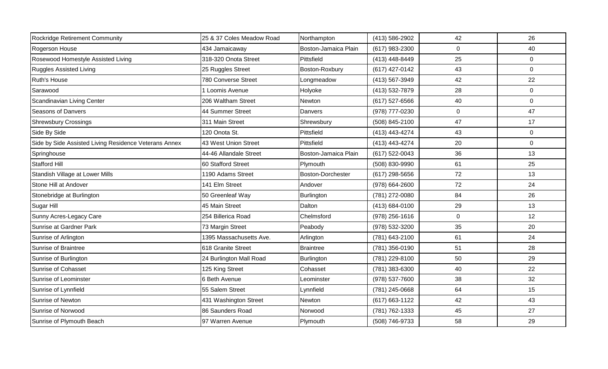| Rockridge Retirement Community                        | 25 & 37 Coles Meadow Road | Northampton              | (413) 586-2902   | 42          | 26             |
|-------------------------------------------------------|---------------------------|--------------------------|------------------|-------------|----------------|
| Rogerson House                                        | 434 Jamaicaway            | Boston-Jamaica Plain     | (617) 983-2300   | $\mathbf 0$ | 40             |
| Rosewood Homestyle Assisted Living                    | 318-320 Onota Street      | Pittsfield               | (413) 448-8449   | 25          | $\mathbf{0}$   |
| <b>Ruggles Assisted Living</b>                        | 25 Ruggles Street         | Boston-Roxbury           | (617) 427-0142   | 43          | $\mathbf{0}$   |
| Ruth's House                                          | 780 Converse Street       | Longmeadow               | (413) 567-3949   | 42          | 22             |
| Sarawood                                              | 1 Loomis Avenue           | Holyoke                  | (413) 532-7879   | 28          | $\mathbf 0$    |
| Scandinavian Living Center                            | 206 Waltham Street        | Newton                   | $(617)$ 527-6566 | 40          | $\mathbf{0}$   |
| Seasons of Danvers                                    | 44 Summer Street          | Danvers                  | (978) 777-0230   | $\pmb{0}$   | 47             |
| <b>Shrewsbury Crossings</b>                           | 311 Main Street           | Shrewsbury               | (508) 845-2100   | 47          | 17             |
| Side By Side                                          | 120 Onota St.             | Pittsfield               | (413) 443-4274   | 43          | $\mathbf 0$    |
| Side by Side Assisted Living Residence Veterans Annex | 43 West Union Street      | Pittsfield               | (413) 443-4274   | 20          | $\overline{0}$ |
| Springhouse                                           | 44-46 Allandale Street    | Boston-Jamaica Plain     | (617) 522-0043   | 36          | 13             |
| <b>Stafford Hill</b>                                  | 60 Stafford Street        | Plymouth                 | (508) 830-9990   | 61          | 25             |
| Standish Village at Lower Mills                       | 1190 Adams Street         | <b>Boston-Dorchester</b> | $(617)$ 298-5656 | 72          | 13             |
| Stone Hill at Andover                                 | 141 Elm Street            | Andover                  | (978) 664-2600   | 72          | 24             |
| Stonebridge at Burlington                             | 50 Greenleaf Way          | Burlington               | (781) 272-0080   | 84          | 26             |
| Sugar Hill                                            | 45 Main Street            | Dalton                   | (413) 684-0100   | 29          | 13             |
| Sunny Acres-Legacy Care                               | 254 Billerica Road        | Chelmsford               | (978) 256-1616   | $\mathbf 0$ | 12             |
| Sunrise at Gardner Park                               | 73 Margin Street          | Peabody                  | (978) 532-3200   | 35          | 20             |
| Sunrise of Arlington                                  | 1395 Massachusetts Ave.   | Arlington                | (781) 643-2100   | 61          | 24             |
| Sunrise of Braintree                                  | 618 Granite Street        | <b>Braintree</b>         | (781) 356-0190   | 51          | 28             |
| Sunrise of Burlington                                 | 24 Burlington Mall Road   | Burlington               | (781) 229-8100   | 50          | 29             |
| <b>Sunrise of Cohasset</b>                            | 125 King Street           | Cohasset                 | (781) 383-6300   | 40          | 22             |
| Sunrise of Leominster                                 | 6 Beth Avenue             | Leominster               | (978) 537-7600   | 38          | 32             |
| Sunrise of Lynnfield                                  | 55 Salem Street           | Lynnfield                | (781) 245-0668   | 64          | 15             |
| Sunrise of Newton                                     | 431 Washington Street     | Newton                   | (617) 663-1122   | 42          | 43             |
| Sunrise of Norwood                                    | 86 Saunders Road          | Norwood                  | (781) 762-1333   | 45          | 27             |
| Sunrise of Plymouth Beach                             | 97 Warren Avenue          | Plymouth                 | (508) 746-9733   | 58          | 29             |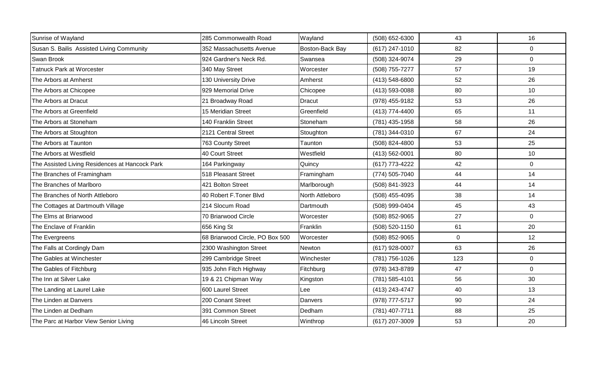| Sunrise of Wayland                             | 285 Commonwealth Road           | Wayland         | (508) 652-6300 | 43          | 16             |
|------------------------------------------------|---------------------------------|-----------------|----------------|-------------|----------------|
| Susan S. Bailis Assisted Living Community      | 352 Massachusetts Avenue        | Boston-Back Bay | (617) 247-1010 | 82          | $\overline{0}$ |
| Swan Brook                                     | 924 Gardner's Neck Rd.          | Swansea         | (508) 324-9074 | 29          | $\overline{0}$ |
| <b>Tatnuck Park at Worcester</b>               | 340 May Street                  | Worcester       | (508) 755-7277 | 57          | 19             |
| The Arbors at Amherst                          | 130 University Drive            | Amherst         | (413) 548-6800 | 52          | 26             |
| The Arbors at Chicopee                         | 929 Memorial Drive              | Chicopee        | (413) 593-0088 | 80          | 10             |
| The Arbors at Dracut                           | 21 Broadway Road                | <b>Dracut</b>   | (978) 455-9182 | 53          | 26             |
| The Arbors at Greenfield                       | 15 Meridian Street              | Greenfield      | (413) 774-4400 | 65          | 11             |
| The Arbors at Stoneham                         | 140 Franklin Street             | Stoneham        | (781) 435-1958 | 58          | 26             |
| The Arbors at Stoughton                        | 2121 Central Street             | Stoughton       | (781) 344-0310 | 67          | 24             |
| The Arbors at Taunton                          | 763 County Street               | Taunton         | (508) 824-4800 | 53          | 25             |
| The Arbors at Westfield                        | 40 Court Street                 | Westfield       | (413) 562-0001 | 80          | 10             |
| The Assisted Living Residences at Hancock Park | 164 Parkingway                  | Quincy          | (617) 773-4222 | 42          | $\overline{0}$ |
| The Branches of Framingham                     | 518 Pleasant Street             | Framingham      | (774) 505-7040 | 44          | 14             |
| The Branches of Marlboro                       | 421 Bolton Street               | Marlborough     | (508) 841-3923 | 44          | 14             |
| The Branches of North Attleboro                | 40 Robert F.Toner Blvd          | North Attleboro | (508) 455-4095 | 38          | 14             |
| The Cottages at Dartmouth Village              | 214 Slocum Road                 | Dartmouth       | (508) 999-0404 | 45          | 43             |
| The Elms at Briarwood                          | 70 Briarwood Circle             | Worcester       | (508) 852-9065 | 27          | $\overline{0}$ |
| The Enclave of Franklin                        | 656 King St                     | Franklin        | (508) 520-1150 | 61          | 20             |
| The Evergreens                                 | 68 Briarwood Circle, PO Box 500 | Worcester       | (508) 852-9065 | $\mathbf 0$ | 12             |
| The Falls at Cordingly Dam                     | 2300 Washington Street          | <b>Newton</b>   | (617) 928-0007 | 63          | 26             |
| The Gables at Winchester                       | 299 Cambridge Street            | Winchester      | (781) 756-1026 | 123         | $\overline{0}$ |
| The Gables of Fitchburg                        | 935 John Fitch Highway          | Fitchburg       | (978) 343-8789 | 47          | $\overline{0}$ |
| The Inn at Silver Lake                         | 19 & 21 Chipman Way             | Kingston        | (781) 585-4101 | 56          | 30             |
| The Landing at Laurel Lake                     | 600 Laurel Street               | Lee             | (413) 243-4747 | 40          | 13             |
| The Linden at Danvers                          | 200 Conant Street               | Danvers         | (978) 777-5717 | 90          | 24             |
| The Linden at Dedham                           | 391 Common Street               | Dedham          | (781) 407-7711 | 88          | 25             |
| The Parc at Harbor View Senior Living          | 46 Lincoln Street               | Winthrop        | (617) 207-3009 | 53          | 20             |
|                                                |                                 |                 |                |             |                |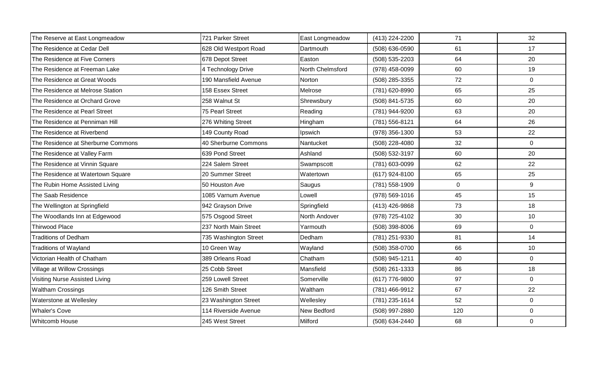| The Reserve at East Longmeadow     | 721 Parker Street     | East Longmeadow  | (413) 224-2200 | 71             | 32             |
|------------------------------------|-----------------------|------------------|----------------|----------------|----------------|
| The Residence at Cedar Dell        | 628 Old Westport Road | Dartmouth        | (508) 636-0590 | 61             | 17             |
| The Residence at Five Corners      | 678 Depot Street      | Easton           | (508) 535-2203 | 64             | 20             |
| The Residence at Freeman Lake      | 4 Technology Drive    | North Chelmsford | (978) 458-0099 | 60             | 19             |
| The Residence at Great Woods       | 190 Mansfield Avenue  | Norton           | (508) 285-3355 | 72             | $\overline{0}$ |
| The Residence at Melrose Station   | 158 Essex Street      | Melrose          | (781) 620-8990 | 65             | 25             |
| The Residence at Orchard Grove     | 258 Walnut St         | Shrewsbury       | (508) 841-5735 | 60             | 20             |
| The Residence at Pearl Street      | 75 Pearl Street       | Reading          | (781) 944-9200 | 63             | 20             |
| The Residence at Penniman Hill     | 276 Whiting Street    | Hingham          | (781) 556-8121 | 64             | 26             |
| The Residence at Riverbend         | 149 County Road       | Ipswich          | (978) 356-1300 | 53             | 22             |
| The Residence at Sherburne Commons | 40 Sherburne Commons  | Nantucket        | (508) 228-4080 | 32             | $\overline{0}$ |
| The Residence at Valley Farm       | 639 Pond Street       | Ashland          | (508) 532-3197 | 60             | 20             |
| The Residence at Vinnin Square     | 224 Salem Street      | Swampscott       | (781) 603-0099 | 62             | 22             |
| The Residence at Watertown Square  | 20 Summer Street      | Watertown        | (617) 924-8100 | 65             | 25             |
| The Rubin Home Assisted Living     | 50 Houston Ave        | Saugus           | (781) 558-1909 | $\overline{0}$ | 9              |
| The Saab Residence                 | 1085 Varnum Avenue    | Lowell           | (978) 569-1016 | 45             | 15             |
| The Wellington at Springfield      | 942 Grayson Drive     | Springfield      | (413) 426-9868 | 73             | 18             |
| The Woodlands Inn at Edgewood      | 575 Osgood Street     | North Andover    | (978) 725-4102 | 30             | 10             |
| <b>Thirwood Place</b>              | 237 North Main Street | Yarmouth         | (508) 398-8006 | 69             | $\overline{0}$ |
| <b>Traditions of Dedham</b>        | 735 Washington Street | Dedham           | (781) 251-9330 | 81             | 14             |
| <b>Traditions of Wayland</b>       | 10 Green Way          | Wayland          | (508) 358-0700 | 66             | 10             |
| Victorian Health of Chatham        | 389 Orleans Road      | Chatham          | (508) 945-1211 | 40             | $\overline{0}$ |
| Village at Willow Crossings        | 25 Cobb Street        | Mansfield        | (508) 261-1333 | 86             | 18             |
| Visiting Nurse Assisted Living     | 259 Lowell Street     | Somerville       | (617) 776-9800 | 97             | $\overline{0}$ |
| <b>Waltham Crossings</b>           | 126 Smith Street      | Waltham          | (781) 466-9912 | 67             | 22             |
| Waterstone at Wellesley            | 23 Washington Street  | Wellesley        | (781) 235-1614 | 52             | $\overline{0}$ |
| <b>Whaler's Cove</b>               | 114 Riverside Avenue  | New Bedford      | (508) 997-2880 | 120            | 0              |
| <b>Whitcomb House</b>              | 245 West Street       | Milford          | (508) 634-2440 | 68             | $\mathbf 0$    |